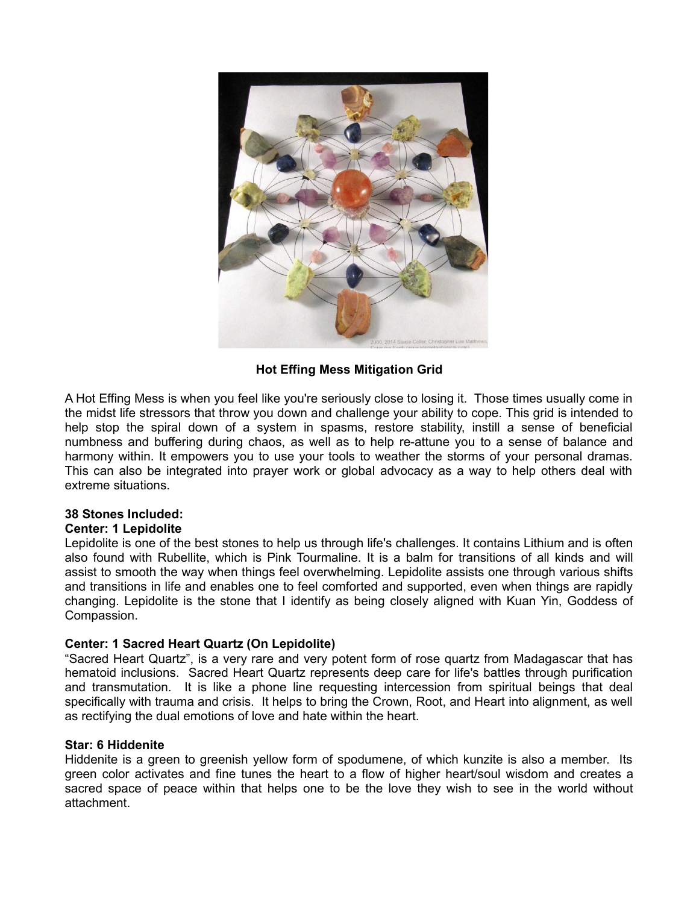

# **Hot Effing Mess Mitigation Grid**

A Hot Effing Mess is when you feel like you're seriously close to losing it. Those times usually come in the midst life stressors that throw you down and challenge your ability to cope. This grid is intended to help stop the spiral down of a system in spasms, restore stability, instill a sense of beneficial numbness and buffering during chaos, as well as to help re-attune you to a sense of balance and harmony within. It empowers you to use your tools to weather the storms of your personal dramas. This can also be integrated into prayer work or global advocacy as a way to help others deal with extreme situations.

## **38 Stones Included:**

## **Center: 1 Lepidolite**

Lepidolite is one of the best stones to help us through life's challenges. It contains Lithium and is often also found with Rubellite, which is Pink Tourmaline. It is a balm for transitions of all kinds and will assist to smooth the way when things feel overwhelming. Lepidolite assists one through various shifts and transitions in life and enables one to feel comforted and supported, even when things are rapidly changing. Lepidolite is the stone that I identify as being closely aligned with Kuan Yin, Goddess of Compassion.

## **Center: 1 Sacred Heart Quartz (On Lepidolite)**

"Sacred Heart Quartz", is a very rare and very potent form of rose quartz from Madagascar that has hematoid inclusions. Sacred Heart Quartz represents deep care for life's battles through purification and transmutation. It is like a phone line requesting intercession from spiritual beings that deal specifically with trauma and crisis. It helps to bring the Crown, Root, and Heart into alignment, as well as rectifying the dual emotions of love and hate within the heart.

## **Star: 6 Hiddenite**

Hiddenite is a green to greenish yellow form of spodumene, of which kunzite is also a member. Its green color activates and fine tunes the heart to a flow of higher heart/soul wisdom and creates a sacred space of peace within that helps one to be the love they wish to see in the world without attachment.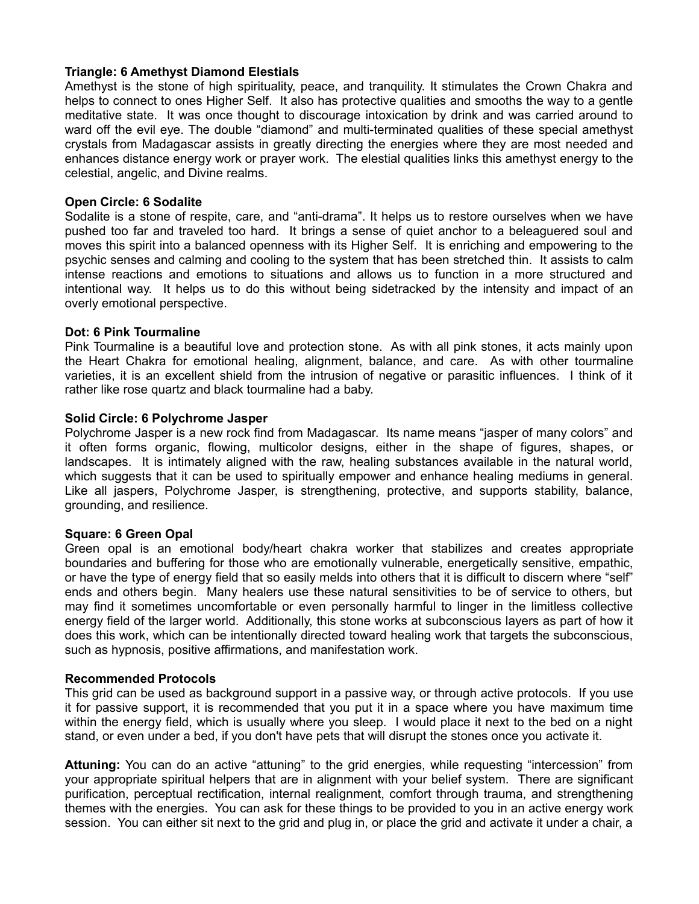## **Triangle: 6 Amethyst Diamond Elestials**

Amethyst is the stone of high spirituality, peace, and tranquility. It stimulates the Crown Chakra and helps to connect to ones Higher Self. It also has protective qualities and smooths the way to a gentle meditative state. It was once thought to discourage intoxication by drink and was carried around to ward off the evil eye. The double "diamond" and multi-terminated qualities of these special amethyst crystals from Madagascar assists in greatly directing the energies where they are most needed and enhances distance energy work or prayer work. The elestial qualities links this amethyst energy to the celestial, angelic, and Divine realms.

## **Open Circle: 6 Sodalite**

Sodalite is a stone of respite, care, and "anti-drama". It helps us to restore ourselves when we have pushed too far and traveled too hard. It brings a sense of quiet anchor to a beleaguered soul and moves this spirit into a balanced openness with its Higher Self. It is enriching and empowering to the psychic senses and calming and cooling to the system that has been stretched thin. It assists to calm intense reactions and emotions to situations and allows us to function in a more structured and intentional way. It helps us to do this without being sidetracked by the intensity and impact of an overly emotional perspective.

## **Dot: 6 Pink Tourmaline**

Pink Tourmaline is a beautiful love and protection stone. As with all pink stones, it acts mainly upon the Heart Chakra for emotional healing, alignment, balance, and care. As with other tourmaline varieties, it is an excellent shield from the intrusion of negative or parasitic influences. I think of it rather like rose quartz and black tourmaline had a baby.

## **Solid Circle: 6 Polychrome Jasper**

Polychrome Jasper is a new rock find from Madagascar. Its name means "jasper of many colors" and it often forms organic, flowing, multicolor designs, either in the shape of figures, shapes, or landscapes. It is intimately aligned with the raw, healing substances available in the natural world, which suggests that it can be used to spiritually empower and enhance healing mediums in general. Like all jaspers, Polychrome Jasper, is strengthening, protective, and supports stability, balance, grounding, and resilience.

## **Square: 6 Green Opal**

Green opal is an emotional body/heart chakra worker that stabilizes and creates appropriate boundaries and buffering for those who are emotionally vulnerable, energetically sensitive, empathic, or have the type of energy field that so easily melds into others that it is difficult to discern where "self" ends and others begin. Many healers use these natural sensitivities to be of service to others, but may find it sometimes uncomfortable or even personally harmful to linger in the limitless collective energy field of the larger world. Additionally, this stone works at subconscious layers as part of how it does this work, which can be intentionally directed toward healing work that targets the subconscious, such as hypnosis, positive affirmations, and manifestation work.

## **Recommended Protocols**

This grid can be used as background support in a passive way, or through active protocols. If you use it for passive support, it is recommended that you put it in a space where you have maximum time within the energy field, which is usually where you sleep. I would place it next to the bed on a night stand, or even under a bed, if you don't have pets that will disrupt the stones once you activate it.

**Attuning:** You can do an active "attuning" to the grid energies, while requesting "intercession" from your appropriate spiritual helpers that are in alignment with your belief system. There are significant purification, perceptual rectification, internal realignment, comfort through trauma, and strengthening themes with the energies. You can ask for these things to be provided to you in an active energy work session. You can either sit next to the grid and plug in, or place the grid and activate it under a chair, a